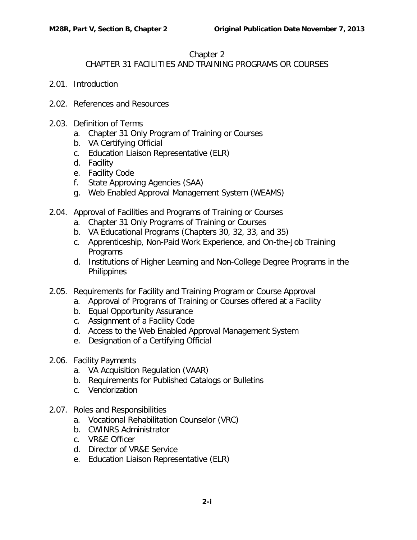## Chapter 2

## CHAPTER 31 FACILITIES AND TRAINING PROGRAMS OR COURSES

- 2.01. [Introduction](#page-2-0)
- 2.02. [References and Resources](#page-2-1)
- 2.03. [Definition of Terms](#page-2-2)
	- a. [Chapter 31 Only Program of Training or Courses](#page-3-0)
	- b. [VA Certifying Official](#page-3-1)
	- c. [Education Liaison Representative \(ELR\)](#page-3-2)
	- d. [Facility](#page-3-3)
	- e. [Facility Code](#page-4-0)
	- f. [State Approving Agencies \(SAA\)](#page-5-0)
	- g. [Web Enabled Approval Management System \(WEAMS\)](#page-5-1)
- 2.04. [Approval of Facilities and Programs of Training or Courses](#page-5-2)
	- a. [Chapter 31 Only Programs of Training or Courses](#page-5-3)
	- b. [VA Educational Programs \(Chapters 30, 32, 33, and 35\)](#page-6-0)
	- c. [Apprenticeship, Non-Paid Work Experience, and On-the-Job Training](#page-6-1)  **[Programs](#page-6-1)**
	- d. [Institutions of Higher Learning and Non-College Degree Programs in the](#page-6-2)  **[Philippines](#page-6-2)**
- 2.05. [Requirements for Facility and Training Program or Course Approval](#page-6-3)
	- a. [Approval of Programs of Training or Courses offered at a Facility](#page-6-4)
		- b. [Equal Opportunity Assurance](#page-7-0)
	- c. [Assignment of a Facility Code](#page-7-1)
	- d. [Access to the Web Enabled Approval Management System](#page-7-2)
	- e. [Designation of a Certifying Official](#page-7-3)
- 2.06. [Facility Payments](#page-8-0)
	- a. [VA Acquisition Regulation \(VAAR\)](#page-8-1)
	- b. [Requirements for Published Catalogs or Bulletins](#page-9-0)
	- c. [Vendorization](#page-10-0)
- 2.07. [Roles and Responsibilities](#page-10-1)
	- a. [Vocational Rehabilitation Counselor \(VRC\)](#page-11-0)
	- b. [CWINRS Administrator](#page-12-0)
	- c. [VR&E Officer](#page-12-1)
	- d. [Director of VR&E Service](#page-12-2)
	- e. [Education Liaison Representative \(ELR\)](#page-12-3)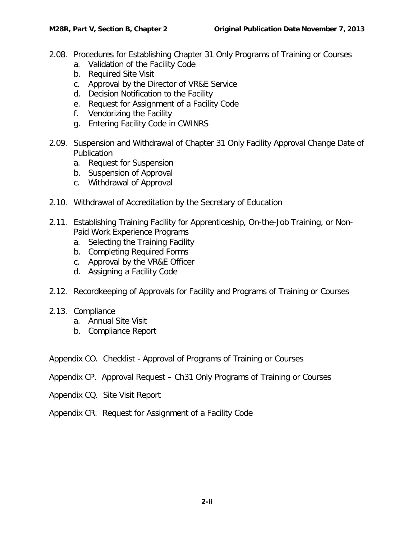- 2.08. [Procedures for Establishing Chapter 31 Only Programs of Training or Courses](#page-13-0)
	- a. [Validation of the Facility Code](#page-13-1)
	- b. [Required Site Visit](#page-15-0)
	- c. [Approval by the Director of VR&E Service](#page-16-0)
	- d. [Decision Notification to the Facility](#page-17-0)
	- e. [Request for Assignment of a Facility Code](#page-17-1)
	- f. [Vendorizing the Facility](#page-17-2)
	- g. [Entering Facility Code in CWINRS](#page-18-0)
- 2.09. Suspension and Withdrawal of [Chapter 31 Only Facility Approval Change Date of](#page-18-1)  **[Publication](#page-18-1)** 
	- a. [Request for Suspension](#page-18-2)
	- b. [Suspension of Approval](#page-18-3)
	- c. [Withdrawal of Approval](#page-19-0)
- 2.10. [Withdrawal of Accreditation by the Secretary of Education](#page-20-0)
- 2.11. [Establishing Training Facility for Apprenticeship, On-the-Job Training, or Non-](#page-20-1)[Paid Work Experience Programs](#page-20-1)
	- a. [Selecting the Training Facility](#page-21-0)
	- b. [Completing Required Forms](#page-22-0)
	- c. [Approval by the VR&E Officer](#page-22-1)
	- d. [Assigning a Facility Code](#page-22-2)
- 2.12. [Recordkeeping of Approvals for Facility and Programs of Training or Courses](#page-23-0)
- 2.13. [Compliance](#page-23-1)
	- a. [Annual Site Visit](#page-23-2)
	- b. [Compliance Report](#page-23-3)
- Appendix CO. Checklist Approval of Programs of Training or Courses
- Appendix CP. Approval Request Ch31 Only Programs of Training or Courses
- Appendix CQ. Site Visit Report
- Appendix CR. Request for Assignment of a Facility Code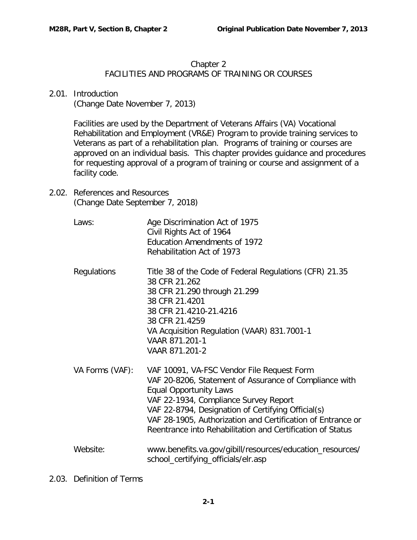## Chapter 2

## FACILITIES AND PROGRAMS OF TRAINING OR COURSES

<span id="page-2-0"></span>2.01. Introduction

(Change Date November 7, 2013)

Facilities are used by the Department of Veterans Affairs (VA) Vocational Rehabilitation and Employment (VR&E) Program to provide training services to Veterans as part of a rehabilitation plan. Programs of training or courses are approved on an individual basis. This chapter provides guidance and procedures for requesting approval of a program of training or course and assignment of a facility code.

<span id="page-2-1"></span>2.02. References and Resources (Change Date September 7, 2018)

| Laws:           | Age Discrimination Act of 1975<br>Civil Rights Act of 1964<br><b>Education Amendments of 1972</b><br>Rehabilitation Act of 1973                                                                                                                                                                                                                                   |
|-----------------|-------------------------------------------------------------------------------------------------------------------------------------------------------------------------------------------------------------------------------------------------------------------------------------------------------------------------------------------------------------------|
| Regulations     | Title 38 of the Code of Federal Regulations (CFR) 21.35<br>38 CFR 21.262<br>38 CFR 21.290 through 21.299<br>38 CFR 21.4201<br>38 CFR 21.4210-21.4216<br>38 CFR 21.4259<br>VA Acquisition Regulation (VAAR) 831.7001-1<br>VAAR 871.201-1<br>VAAR 871.201-2                                                                                                         |
| VA Forms (VAF): | VAF 10091, VA-FSC Vendor File Request Form<br>VAF 20-8206, Statement of Assurance of Compliance with<br><b>Equal Opportunity Laws</b><br>VAF 22-1934, Compliance Survey Report<br>VAF 22-8794, Designation of Certifying Official(s)<br>VAF 28-1905, Authorization and Certification of Entrance or<br>Reentrance into Rehabilitation and Certification of Status |
| Website:        | www.benefits.va.gov/gibill/resources/education_resources/<br>school_certifying_officials/elr.asp                                                                                                                                                                                                                                                                  |

<span id="page-2-2"></span>2.03. Definition of Terms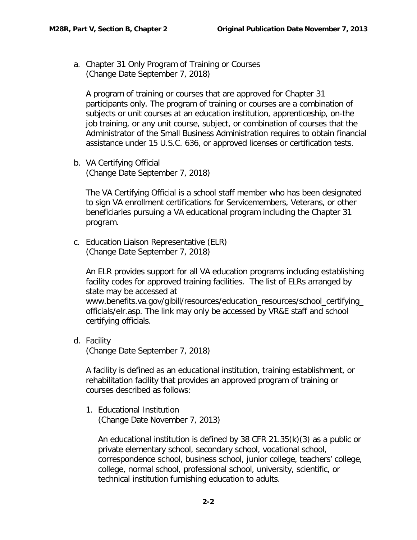<span id="page-3-0"></span>a. Chapter 31 Only Program of Training or Courses (Change Date September 7, 2018)

A program of training or courses that are approved for Chapter 31 participants only. The program of training or courses are a combination of subjects or unit courses at an education institution, apprenticeship, on-the job training, or any unit course, subject, or combination of courses that the Administrator of the Small Business Administration requires to obtain financial assistance under 15 U.S.C. 636, or approved licenses or certification tests.

<span id="page-3-1"></span>b. VA Certifying Official (Change Date September 7, 2018)

The VA Certifying Official is a school staff member who has been designated to sign VA enrollment certifications for Servicemembers, Veterans, or other beneficiaries pursuing a VA educational program including the Chapter 31 program.

<span id="page-3-2"></span>c. Education Liaison Representative (ELR) (Change Date September 7, 2018)

An ELR provides support for all VA education programs including establishing facility codes for approved training facilities. The list of ELRs arranged by state may be accessed at [www.benefits.va.gov/gibill/resources/education\\_resources/school\\_certifying\\_](https://www.benefits.va.gov/gibill/resources/education_resources/school_certifying_officials/elr.asp) [officials/elr.asp.](https://www.benefits.va.gov/gibill/resources/education_resources/school_certifying_officials/elr.asp) The link may only be accessed by VR&E staff and school certifying officials.

<span id="page-3-3"></span>d. Facility (Change Date September 7, 2018)

A facility is defined as an educational institution, training establishment, or rehabilitation facility that provides an approved program of training or courses described as follows:

1. Educational Institution (Change Date November 7, 2013)

An educational institution is defined by 38 CFR 21.35(k)(3) as a public or private elementary school, secondary school, vocational school, correspondence school, business school, junior college, teachers' college, college, normal school, professional school, university, scientific, or technical institution furnishing education to adults.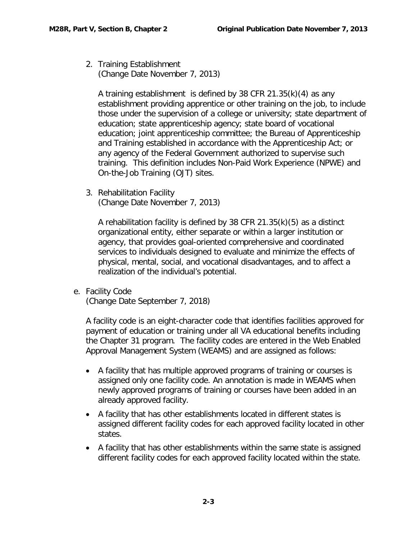2. Training Establishment (Change Date November 7, 2013)

A training establishment is defined by 38 CFR 21.35(k)(4) as any establishment providing apprentice or other training on the job, to include those under the supervision of a college or university; state department of education; state apprenticeship agency; state board of vocational education; joint apprenticeship committee; the Bureau of Apprenticeship and Training established in accordance with the Apprenticeship Act; or any agency of the Federal Government authorized to supervise such training. This definition includes Non-Paid Work Experience (NPWE) and On-the-Job Training (OJT) sites.

3. Rehabilitation Facility (Change Date November 7, 2013)

A rehabilitation facility is defined by 38 CFR 21.35(k)(5) as a distinct organizational entity, either separate or within a larger institution or agency, that provides goal-oriented comprehensive and coordinated services to individuals designed to evaluate and minimize the effects of physical, mental, social, and vocational disadvantages, and to affect a realization of the individual's potential.

<span id="page-4-0"></span>e. Facility Code

(Change Date September 7, 2018)

A facility code is an eight-character code that identifies facilities approved for payment of education or training under all VA educational benefits including the Chapter 31 program. The facility codes are entered in the Web Enabled Approval Management System (WEAMS) and are assigned as follows:

- A facility that has multiple approved programs of training or courses is assigned only one facility code. An annotation is made in WEAMS when newly approved programs of training or courses have been added in an already approved facility.
- A facility that has other establishments located in different states is assigned different facility codes for each approved facility located in other states.
- A facility that has other establishments within the same state is assigned different facility codes for each approved facility located within the state.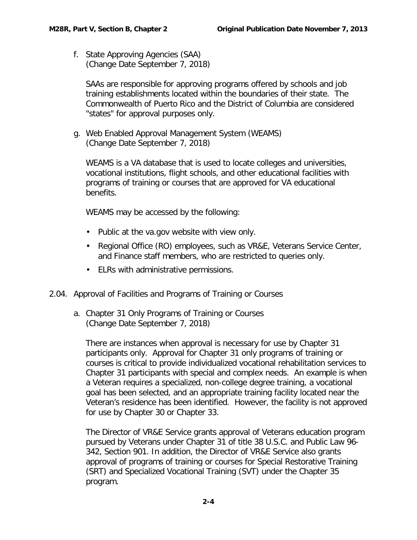<span id="page-5-0"></span>f. State Approving Agencies (SAA) (Change Date September 7, 2018)

SAAs are responsible for approving programs offered by schools and job training establishments located within the boundaries of their state. The Commonwealth of Puerto Rico and the District of Columbia are considered "states" for approval purposes only.

<span id="page-5-1"></span>g. Web Enabled Approval Management System (WEAMS) (Change Date September 7, 2018)

WEAMS is a VA database that is used to locate colleges and universities, vocational institutions, flight schools, and other educational facilities with programs of training or courses that are approved for VA educational benefits.

WEAMS may be accessed by the following:

- Public at the va.gov website with view only.
- Regional Office (RO) employees, such as VR&E, Veterans Service Center, and Finance staff members, who are restricted to queries only.
- ELRs with administrative permissions.
- <span id="page-5-3"></span><span id="page-5-2"></span>2.04. Approval of Facilities and Programs of Training or Courses
	- a. Chapter 31 Only Programs of Training or Courses (Change Date September 7, 2018)

There are instances when approval is necessary for use by Chapter 31 participants only. Approval for Chapter 31 only programs of training or courses is critical to provide individualized vocational rehabilitation services to Chapter 31 participants with special and complex needs. An example is when a Veteran requires a specialized, non-college degree training, a vocational goal has been selected, and an appropriate training facility located near the Veteran's residence has been identified. However, the facility is not approved for use by Chapter 30 or Chapter 33.

The Director of VR&E Service grants approval of Veterans education program pursued by Veterans under Chapter 31 of title 38 U.S.C. and Public Law 96- 342, Section 901. In addition, the Director of VR&E Service also grants approval of programs of training or courses for Special Restorative Training (SRT) and Specialized Vocational Training (SVT) under the Chapter 35 program.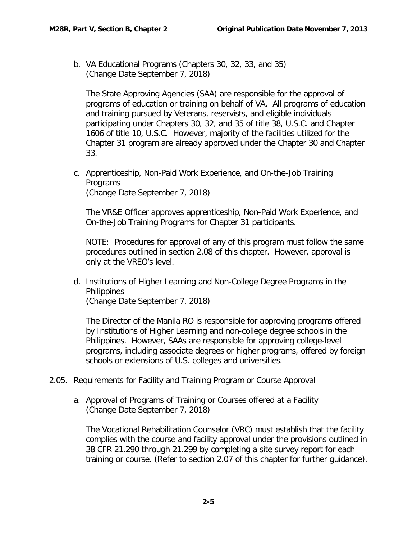<span id="page-6-0"></span>b. VA Educational Programs (Chapters 30, 32, 33, and 35) (Change Date September 7, 2018)

The State Approving Agencies (SAA) are responsible for the approval of programs of education or training on behalf of VA. All programs of education and training pursued by Veterans, reservists, and eligible individuals participating under Chapters 30, 32, and 35 of title 38, U.S.C. and Chapter 1606 of title 10, U.S.C. However, majority of the facilities utilized for the Chapter 31 program are already approved under the Chapter 30 and Chapter 33.

<span id="page-6-1"></span>c. Apprenticeship, Non-Paid Work Experience, and On-the-Job Training Programs (Change Date September 7, 2018)

The VR&E Officer approves apprenticeship, Non-Paid Work Experience, and On-the-Job Training Programs for Chapter 31 participants.

NOTE: Procedures for approval of any of this program must follow the same procedures outlined in section 2.08 of this chapter. However, approval is only at the VREO's level.

<span id="page-6-2"></span>d. Institutions of Higher Learning and Non-College Degree Programs in the **Philippines** 

(Change Date September 7, 2018)

The Director of the Manila RO is responsible for approving programs offered by Institutions of Higher Learning and non-college degree schools in the Philippines. However, SAAs are responsible for approving college-level programs, including associate degrees or higher programs, offered by foreign schools or extensions of U.S. colleges and universities.

- <span id="page-6-4"></span><span id="page-6-3"></span>2.05. Requirements for Facility and Training Program or Course Approval
	- a. Approval of Programs of Training or Courses offered at a Facility (Change Date September 7, 2018)

The Vocational Rehabilitation Counselor (VRC) must establish that the facility complies with the course and facility approval under the provisions outlined in 38 CFR 21.290 through 21.299 by completing a site survey report for each training or course. (Refer to section 2.07 of this chapter for further guidance).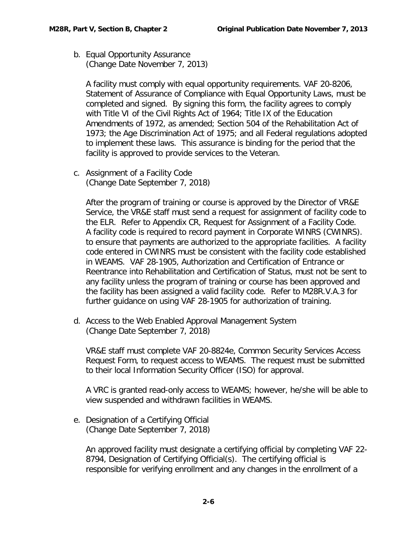<span id="page-7-0"></span>b. Equal Opportunity Assurance (Change Date November 7, 2013)

A facility must comply with equal opportunity requirements. VAF 20-8206, Statement of Assurance of Compliance with Equal Opportunity Laws, must be completed and signed. By signing this form, the facility agrees to comply with Title VI of the Civil Rights Act of 1964; Title IX of the Education Amendments of 1972, as amended; Section 504 of the Rehabilitation Act of 1973; the Age Discrimination Act of 1975; and all Federal regulations adopted to implement these laws. This assurance is binding for the period that the facility is approved to provide services to the Veteran.

<span id="page-7-1"></span>c. Assignment of a Facility Code (Change Date September 7, 2018)

After the program of training or course is approved by the Director of VR&E Service, the VR&E staff must send a request for assignment of facility code to the ELR. Refer to Appendix CR, Request for Assignment of a Facility Code. A facility code is required to record payment in Corporate WINRS (CWINRS). to ensure that payments are authorized to the appropriate facilities. A facility code entered in CWINRS must be consistent with the facility code established in WEAMS. VAF 28-1905, Authorization and Certification of Entrance or Reentrance into Rehabilitation and Certification of Status, must not be sent to any facility unless the program of training or course has been approved and the facility has been assigned a valid facility code. Refer to M28R.V.A.3 for further guidance on using VAF 28-1905 for authorization of training.

<span id="page-7-2"></span>d. Access to the Web Enabled Approval Management System (Change Date September 7, 2018)

VR&E staff must complete VAF 20-8824e, Common Security Services Access Request Form, to request access to WEAMS. The request must be submitted to their local Information Security Officer (ISO) for approval.

A VRC is granted read-only access to WEAMS; however, he/she will be able to view suspended and withdrawn facilities in WEAMS.

<span id="page-7-3"></span>e. Designation of a Certifying Official (Change Date September 7, 2018)

An approved facility must designate a certifying official by completing VAF 22- 8794, Designation of Certifying Official(s). The certifying official is responsible for verifying enrollment and any changes in the enrollment of a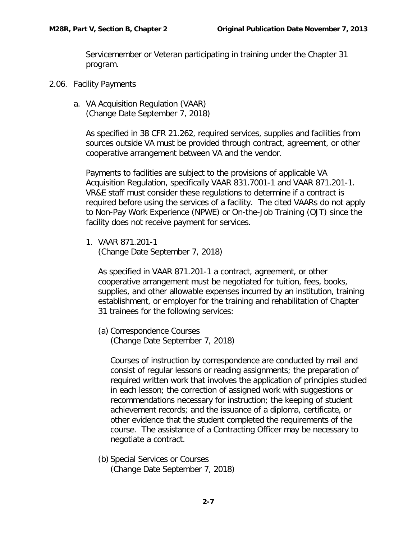Servicemember or Veteran participating in training under the Chapter 31 program.

- <span id="page-8-1"></span><span id="page-8-0"></span>2.06. Facility Payments
	- a. VA Acquisition Regulation (VAAR) (Change Date September 7, 2018)

As specified in 38 CFR 21.262, required services, supplies and facilities from sources outside VA must be provided through contract, agreement, or other cooperative arrangement between VA and the vendor.

Payments to facilities are subject to the provisions of applicable VA Acquisition Regulation, specifically VAAR 831.7001-1 and VAAR 871.201-1. VR&E staff must consider these regulations to determine if a contract is required before using the services of a facility. The cited VAARs do not apply to Non-Pay Work Experience (NPWE) or On-the-Job Training (OJT) since the facility does not receive payment for services.

1. VAAR 871.201-1 (Change Date September 7, 2018)

As specified in VAAR 871.201-1 a contract, agreement, or other cooperative arrangement must be negotiated for tuition, fees, books, supplies, and other allowable expenses incurred by an institution, training establishment, or employer for the training and rehabilitation of Chapter 31 trainees for the following services:

(a) Correspondence Courses

(Change Date September 7, 2018)

Courses of instruction by correspondence are conducted by mail and consist of regular lessons or reading assignments; the preparation of required written work that involves the application of principles studied in each lesson; the correction of assigned work with suggestions or recommendations necessary for instruction; the keeping of student achievement records; and the issuance of a diploma, certificate, or other evidence that the student completed the requirements of the course. The assistance of a Contracting Officer may be necessary to negotiate a contract.

(b) Special Services or Courses (Change Date September 7, 2018)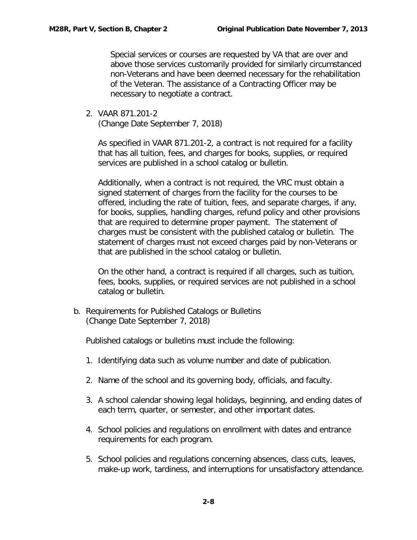Special services or courses are requested by VA that are over and above those services customarily provided for similarly circumstanced non-Veterans and have been deemed necessary for the rehabilitation of the Veteran. The assistance of a Contracting Officer may be necessary to negotiate a contract.

2. VAAR 871.201-2

(Change Date September 7, 2018)

As specified in VAAR 871.201-2, a contract is not required for a facility that has all tuition, fees, and charges for books, supplies, or required services are published in a school catalog or bulletin.

Additionally, when a contract is not required, the VRC must obtain a signed statement of charges from the facility for the courses to be offered, including the rate of tuition, fees, and separate charges, if any, for books, supplies, handling charges, refund policy and other provisions that are required to determine proper payment. The statement of charges must be consistent with the published catalog or bulletin. The statement of charges must not exceed charges paid by non-Veterans or that are published in the school catalog or bulletin.

On the other hand, a contract is required if all charges, such as tuition, fees, books, supplies, or required services are not published in a school catalog or bulletin.

<span id="page-9-0"></span>b. Requirements for Published Catalogs or Bulletins (Change Date September 7, 2018)

Published catalogs or bulletins must include the following:

- 1. Identifying data such as volume number and date of publication.
- 2. Name of the school and its governing body, officials, and faculty.
- 3. A school calendar showing legal holidays, beginning, and ending dates of each term, quarter, or semester, and other important dates.
- 4. School policies and regulations on enrollment with dates and entrance requirements for each program.
- 5. School policies and regulations concerning absences, class cuts, leaves, make-up work, tardiness, and interruptions for unsatisfactory attendance.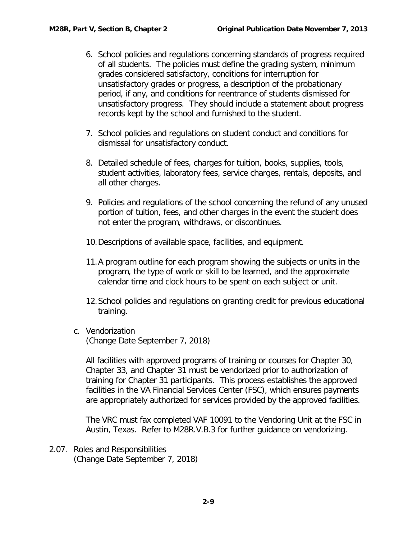- 6. School policies and regulations concerning standards of progress required of all students. The policies must define the grading system, minimum grades considered satisfactory, conditions for interruption for unsatisfactory grades or progress, a description of the probationary period, if any, and conditions for reentrance of students dismissed for unsatisfactory progress. They should include a statement about progress records kept by the school and furnished to the student.
- 7. School policies and regulations on student conduct and conditions for dismissal for unsatisfactory conduct.
- 8. Detailed schedule of fees, charges for tuition, books, supplies, tools, student activities, laboratory fees, service charges, rentals, deposits, and all other charges.
- 9. Policies and regulations of the school concerning the refund of any unused portion of tuition, fees, and other charges in the event the student does not enter the program, withdraws, or discontinues.
- 10.Descriptions of available space, facilities, and equipment.
- 11.A program outline for each program showing the subjects or units in the program, the type of work or skill to be learned, and the approximate calendar time and clock hours to be spent on each subject or unit.
- 12.School policies and regulations on granting credit for previous educational training.
- <span id="page-10-0"></span>c. Vendorization

(Change Date September 7, 2018)

All facilities with approved programs of training or courses for Chapter 30, Chapter 33, and Chapter 31 must be vendorized prior to authorization of training for Chapter 31 participants. This process establishes the approved facilities in the VA Financial Services Center (FSC), which ensures payments are appropriately authorized for services provided by the approved facilities.

The VRC must fax completed VAF 10091 to the Vendoring Unit at the FSC in Austin, Texas. Refer to M28R.V.B.3 for further guidance on vendorizing.

<span id="page-10-1"></span>2.07. Roles and Responsibilities (Change Date September 7, 2018)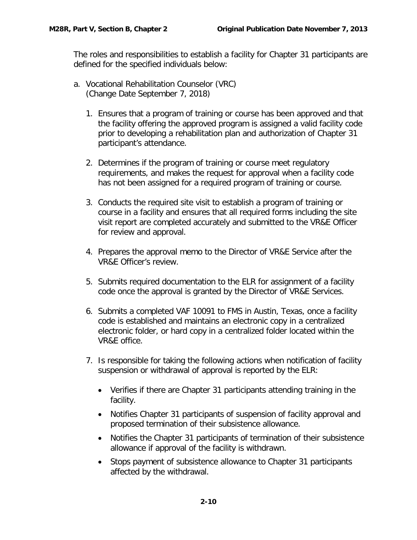The roles and responsibilities to establish a facility for Chapter 31 participants are defined for the specified individuals below:

- <span id="page-11-0"></span>a. Vocational Rehabilitation Counselor (VRC) (Change Date September 7, 2018)
	- 1. Ensures that a program of training or course has been approved and that the facility offering the approved program is assigned a valid facility code prior to developing a rehabilitation plan and authorization of Chapter 31 participant's attendance.
	- 2. Determines if the program of training or course meet regulatory requirements, and makes the request for approval when a facility code has not been assigned for a required program of training or course.
	- 3. Conducts the required site visit to establish a program of training or course in a facility and ensures that all required forms including the site visit report are completed accurately and submitted to the VR&E Officer for review and approval.
	- 4. Prepares the approval memo to the Director of VR&E Service after the VR&E Officer's review.
	- 5. Submits required documentation to the ELR for assignment of a facility code once the approval is granted by the Director of VR&E Services.
	- 6. Submits a completed VAF 10091 to FMS in Austin, Texas, once a facility code is established and maintains an electronic copy in a centralized electronic folder, or hard copy in a centralized folder located within the VR&E office.
	- 7. Is responsible for taking the following actions when notification of facility suspension or withdrawal of approval is reported by the ELR:
		- Verifies if there are Chapter 31 participants attending training in the facility.
		- Notifies Chapter 31 participants of suspension of facility approval and proposed termination of their subsistence allowance.
		- Notifies the Chapter 31 participants of termination of their subsistence allowance if approval of the facility is withdrawn.
		- Stops payment of subsistence allowance to Chapter 31 participants affected by the withdrawal.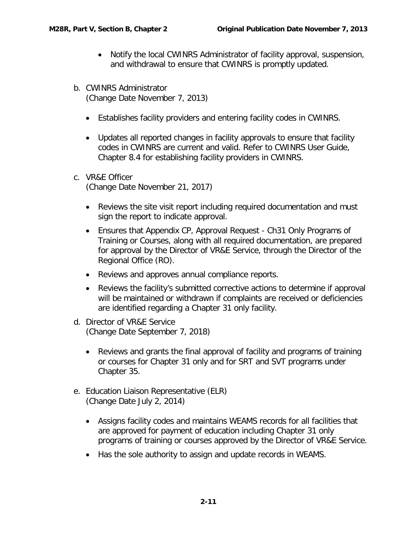- Notify the local CWINRS Administrator of facility approval, suspension, and withdrawal to ensure that CWINRS is promptly updated.
- <span id="page-12-0"></span>b. CWINRS Administrator (Change Date November 7, 2013)
	- Establishes facility providers and entering facility codes in CWINRS.
	- Updates all reported changes in facility approvals to ensure that facility codes in CWINRS are current and valid. Refer to CWINRS User Guide, Chapter 8.4 for establishing facility providers in CWINRS.
- <span id="page-12-1"></span>c. VR&E Officer (Change Date November 21, 2017)
	- Reviews the site visit report including required documentation and must sign the report to indicate approval.
	- Ensures that Appendix CP, Approval Request Ch31 Only Programs of Training or Courses, along with all required documentation, are prepared for approval by the Director of VR&E Service, through the Director of the Regional Office (RO).
	- Reviews and approves annual compliance reports.
	- Reviews the facility's submitted corrective actions to determine if approval will be maintained or withdrawn if complaints are received or deficiencies are identified regarding a Chapter 31 only facility.
- <span id="page-12-2"></span>d. Director of VR&E Service (Change Date September 7, 2018)
	- Reviews and grants the final approval of facility and programs of training or courses for Chapter 31 only and for SRT and SVT programs under Chapter 35.
- <span id="page-12-3"></span>e. Education Liaison Representative (ELR) (Change Date July 2, 2014)
	- Assigns facility codes and maintains WEAMS records for all facilities that are approved for payment of education including Chapter 31 only programs of training or courses approved by the Director of VR&E Service.
	- Has the sole authority to assign and update records in WEAMS.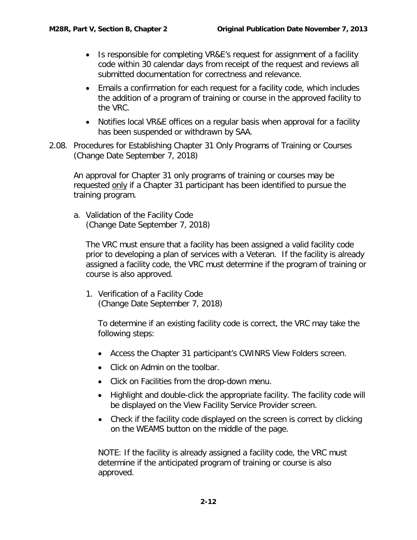- Is responsible for completing VR&E's request for assignment of a facility code within 30 calendar days from receipt of the request and reviews all submitted documentation for correctness and relevance.
- Emails a confirmation for each request for a facility code, which includes the addition of a program of training or course in the approved facility to the VRC.
- Notifies local VR&E offices on a regular basis when approval for a facility has been suspended or withdrawn by SAA.
- <span id="page-13-0"></span>2.08. Procedures for Establishing Chapter 31 Only Programs of Training or Courses (Change Date September 7, 2018)

An approval for Chapter 31 only programs of training or courses may be requested only if a Chapter 31 participant has been identified to pursue the training program.

<span id="page-13-1"></span>a. Validation of the Facility Code (Change Date September 7, 2018)

The VRC must ensure that a facility has been assigned a valid facility code prior to developing a plan of services with a Veteran. If the facility is already assigned a facility code, the VRC must determine if the program of training or course is also approved.

1. Verification of a Facility Code (Change Date September 7, 2018)

To determine if an existing facility code is correct, the VRC may take the following steps:

- Access the Chapter 31 participant's CWINRS View Folders screen.
- Click on Admin on the toolbar.
- Click on Facilities from the drop-down menu.
- Highlight and double-click the appropriate facility. The facility code will be displayed on the View Facility Service Provider screen.
- Check if the facility code displayed on the screen is correct by clicking on the WEAMS button on the middle of the page.

NOTE: If the facility is already assigned a facility code, the VRC must determine if the anticipated program of training or course is also approved.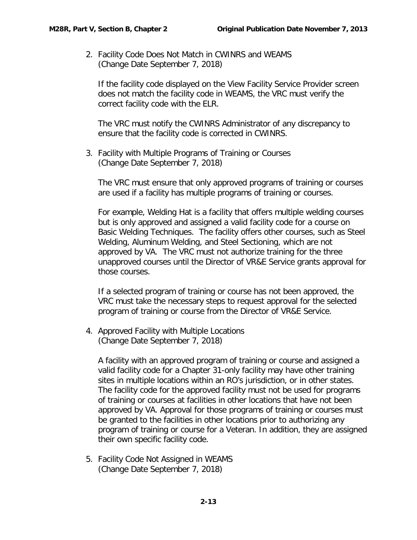2. Facility Code Does Not Match in CWINRS and WEAMS (Change Date September 7, 2018)

If the facility code displayed on the View Facility Service Provider screen does not match the facility code in WEAMS, the VRC must verify the correct facility code with the ELR.

The VRC must notify the CWINRS Administrator of any discrepancy to ensure that the facility code is corrected in CWINRS.

3. Facility with Multiple Programs of Training or Courses (Change Date September 7, 2018)

The VRC must ensure that only approved programs of training or courses are used if a facility has multiple programs of training or courses.

For example, Welding Hat is a facility that offers multiple welding courses but is only approved and assigned a valid facility code for a course on Basic Welding Techniques. The facility offers other courses, such as Steel Welding, Aluminum Welding, and Steel Sectioning, which are not approved by VA. The VRC must not authorize training for the three unapproved courses until the Director of VR&E Service grants approval for those courses.

If a selected program of training or course has not been approved, the VRC must take the necessary steps to request approval for the selected program of training or course from the Director of VR&E Service.

4. Approved Facility with Multiple Locations (Change Date September 7, 2018)

A facility with an approved program of training or course and assigned a valid facility code for a Chapter 31-only facility may have other training sites in multiple locations within an RO's jurisdiction, or in other states. The facility code for the approved facility must not be used for programs of training or courses at facilities in other locations that have not been approved by VA. Approval for those programs of training or courses must be granted to the facilities in other locations prior to authorizing any program of training or course for a Veteran. In addition, they are assigned their own specific facility code.

5. Facility Code Not Assigned in WEAMS (Change Date September 7, 2018)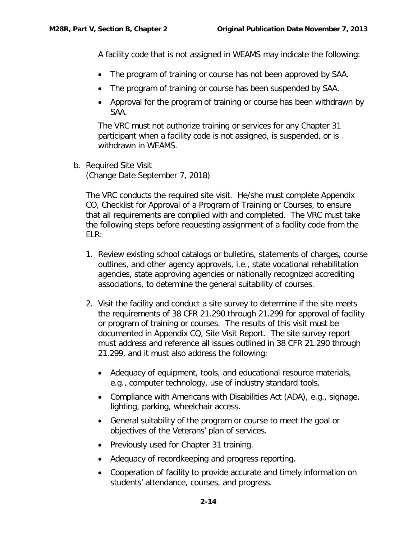A facility code that is not assigned in WEAMS may indicate the following:

- The program of training or course has not been approved by SAA.
- The program of training or course has been suspended by SAA.
- Approval for the program of training or course has been withdrawn by SAA.

The VRC must not authorize training or services for any Chapter 31 participant when a facility code is not assigned, is suspended, or is withdrawn in WEAMS.

<span id="page-15-0"></span>b. Required Site Visit (Change Date September 7, 2018)

The VRC conducts the required site visit. He/she must complete Appendix CO, Checklist for Approval of a Program of Training or Courses, to ensure that all requirements are complied with and completed. The VRC must take the following steps before requesting assignment of a facility code from the ELR:

- 1. Review existing school catalogs or bulletins, statements of charges, course outlines, and other agency approvals, i.e., state vocational rehabilitation agencies, state approving agencies or nationally recognized accrediting associations, to determine the general suitability of courses.
- 2. Visit the facility and conduct a site survey to determine if the site meets the requirements of 38 CFR 21.290 through 21.299 for approval of facility or program of training or courses. The results of this visit must be documented in Appendix CQ, Site Visit Report. The site survey report must address and reference all issues outlined in 38 CFR 21.290 through 21.299, and it must also address the following:
	- Adequacy of equipment, tools, and educational resource materials, e.g., computer technology, use of industry standard tools.
	- Compliance with Americans with Disabilities Act (ADA), e.g., signage, lighting, parking, wheelchair access.
	- General suitability of the program or course to meet the goal or objectives of the Veterans' plan of services.
	- Previously used for Chapter 31 training.
	- Adequacy of recordkeeping and progress reporting.
	- Cooperation of facility to provide accurate and timely information on students' attendance, courses, and progress.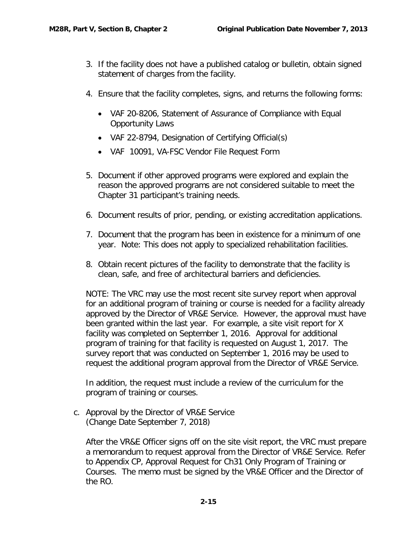- 3. If the facility does not have a published catalog or bulletin, obtain signed statement of charges from the facility.
- 4. Ensure that the facility completes, signs, and returns the following forms:
	- VAF 20-8206, [Statement of Assurance of Compliance with Equal](https://vaww.portal.va.gov/sites/VRWKM/Forms%20%20Letters/Statement%20of%20Assurance%20of%20Compliance%20with%20Equal%20Opportunity%20Laws.pdf)  [Opportunity Laws](https://vaww.portal.va.gov/sites/VRWKM/Forms%20%20Letters/Statement%20of%20Assurance%20of%20Compliance%20with%20Equal%20Opportunity%20Laws.pdf)
	- VAF 22-8794, Designation of Certifying Official(s)
	- VAF 10091, VA-FSC Vendor File Request Form
- 5. Document if other approved programs were explored and explain the reason the approved programs are not considered suitable to meet the Chapter 31 participant's training needs.
- 6. Document results of prior, pending, or existing accreditation applications.
- 7. Document that the program has been in existence for a minimum of one year. Note: This does not apply to specialized rehabilitation facilities.
- 8. Obtain recent pictures of the facility to demonstrate that the facility is clean, safe, and free of architectural barriers and deficiencies.

NOTE: The VRC may use the most recent site survey report when approval for an additional program of training or course is needed for a facility already approved by the Director of VR&E Service. However, the approval must have been granted within the last year. For example, a site visit report for X facility was completed on September 1, 2016. Approval for additional program of training for that facility is requested on August 1, 2017. The survey report that was conducted on September 1, 2016 may be used to request the additional program approval from the Director of VR&E Service.

In addition, the request must include a review of the curriculum for the program of training or courses.

<span id="page-16-0"></span>c. Approval by the Director of VR&E Service (Change Date September 7, 2018)

After the VR&E Officer signs off on the site visit report, the VRC must prepare a memorandum to request approval from the Director of VR&E Service. Refer to Appendix CP, Approval Request for Ch31 Only Program of Training or Courses. The memo must be signed by the VR&E Officer and the Director of the RO.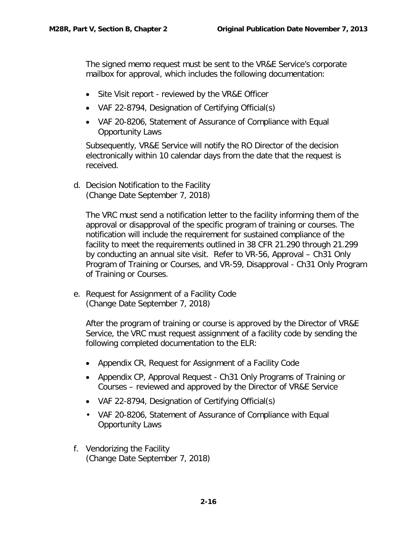The signed memo request must be sent to the VR&E Service's corporate mailbox for approval, which includes the following documentation:

- Site Visit report reviewed by the VR&E Officer
- VAF 22-8794, Designation of Certifying Official(s)
- VAF 20-8206, Statement of Assurance of Compliance with Equal Opportunity Laws

Subsequently, VR&E Service will notify the RO Director of the decision electronically within 10 calendar days from the date that the request is received.

<span id="page-17-0"></span>d. Decision Notification to the Facility (Change Date September 7, 2018)

The VRC must send a notification letter to the facility informing them of the approval or disapproval of the specific program of training or courses. The notification will include the requirement for sustained compliance of the facility to meet the requirements outlined in 38 CFR 21.290 through 21.299 by conducting an annual site visit. Refer to VR-56, Approval – Ch31 Only Program of Training or Courses, and VR-59, Disapproval - Ch31 Only Program of Training or Courses.

<span id="page-17-1"></span>e. Request for Assignment of a Facility Code (Change Date September 7, 2018)

After the program of training or course is approved by the Director of VR&E Service, the VRC must request assignment of a facility code by sending the following completed documentation to the ELR:

- Appendix CR, Request for Assignment of a Facility Code
- Appendix CP, Approval Request Ch31 Only Programs of Training or Courses – reviewed and approved by the Director of VR&E Service
- VAF 22-8794, Designation of Certifying Official(s)
- VAF 20-8206, Statement of Assurance of Compliance with Equal Opportunity Laws
- <span id="page-17-2"></span>f. Vendorizing the Facility (Change Date September 7, 2018)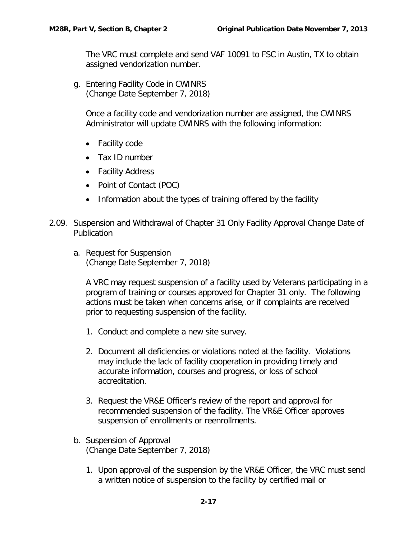The VRC must complete and send VAF 10091 to FSC in Austin, TX to obtain assigned vendorization number.

<span id="page-18-0"></span>g. Entering Facility Code in CWINRS (Change Date September 7, 2018)

Once a facility code and vendorization number are assigned, the CWINRS Administrator will update CWINRS with the following information:

- Facility code
- Tax ID number
- Facility Address
- Point of Contact (POC)
- Information about the types of training offered by the facility
- <span id="page-18-2"></span><span id="page-18-1"></span>2.09. Suspension and Withdrawal of Chapter 31 Only Facility Approval Change Date of Publication
	- a. Request for Suspension (Change Date September 7, 2018)

A VRC may request suspension of a facility used by Veterans participating in a program of training or courses approved for Chapter 31 only. The following actions must be taken when concerns arise, or if complaints are received prior to requesting suspension of the facility.

- 1. Conduct and complete a new site survey.
- 2. Document all deficiencies or violations noted at the facility. Violations may include the lack of facility cooperation in providing timely and accurate information, courses and progress, or loss of school accreditation.
- 3. Request the VR&E Officer's review of the report and approval for recommended suspension of the facility. The VR&E Officer approves suspension of enrollments or reenrollments.
- <span id="page-18-3"></span>b. Suspension of Approval (Change Date September 7, 2018)
	- 1. Upon approval of the suspension by the VR&E Officer, the VRC must send a written notice of suspension to the facility by certified mail or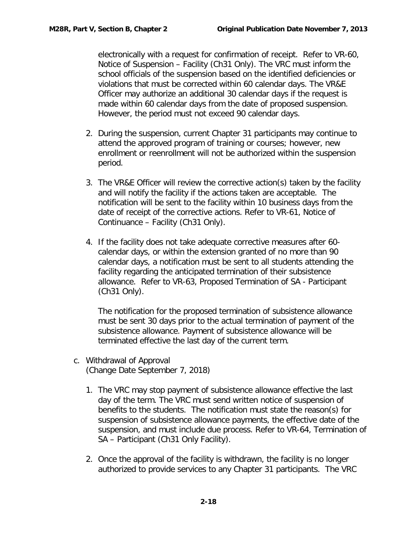electronically with a request for confirmation of receipt. Refer to VR-60, Notice of Suspension – Facility (Ch31 Only). The VRC must inform the school officials of the suspension based on the identified deficiencies or violations that must be corrected within 60 calendar days. The VR&E Officer may authorize an additional 30 calendar days if the request is made within 60 calendar days from the date of proposed suspension. However, the period must not exceed 90 calendar days.

- 2. During the suspension, current Chapter 31 participants may continue to attend the approved program of training or courses; however, new enrollment or reenrollment will not be authorized within the suspension period.
- 3. The VR&E Officer will review the corrective action(s) taken by the facility and will notify the facility if the actions taken are acceptable. The notification will be sent to the facility within 10 business days from the date of receipt of the corrective actions. Refer to VR-61, Notice of Continuance – Facility (Ch31 Only).
- 4. If the facility does not take adequate corrective measures after 60 calendar days, or within the extension granted of no more than 90 calendar days, a notification must be sent to all students attending the facility regarding the anticipated termination of their subsistence allowance. Refer to VR-63, Proposed Termination of SA - Participant (Ch31 Only).

The notification for the proposed termination of subsistence allowance must be sent 30 days prior to the actual termination of payment of the subsistence allowance. Payment of subsistence allowance will be terminated effective the last day of the current term.

- <span id="page-19-0"></span>c. Withdrawal of Approval (Change Date September 7, 2018)
	- 1. The VRC may stop payment of subsistence allowance effective the last day of the term. The VRC must send written notice of suspension of benefits to the students. The notification must state the reason(s) for suspension of subsistence allowance payments, the effective date of the suspension, and must include due process. Refer to VR-64, Termination of SA - Participant (Ch31 Only Facility).
	- 2. Once the approval of the facility is withdrawn, the facility is no longer authorized to provide services to any Chapter 31 participants. The VRC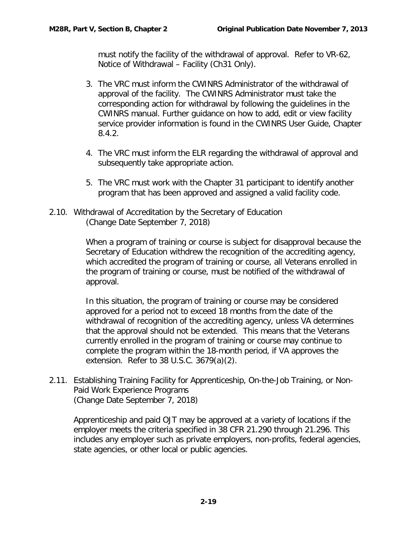must notify the facility of the withdrawal of approval. Refer to VR-62, Notice of Withdrawal – Facility (Ch31 Only).

- 3. The VRC must inform the CWINRS Administrator of the withdrawal of approval of the facility. The CWINRS Administrator must take the corresponding action for withdrawal by following the guidelines in the CWINRS manual. Further guidance on how to add, edit or view facility service provider information is found in the CWINRS User Guide, Chapter 8.4.2.
- 4. The VRC must inform the ELR regarding the withdrawal of approval and subsequently take appropriate action.
- 5. The VRC must work with the Chapter 31 participant to identify another program that has been approved and assigned a valid facility code.
- <span id="page-20-0"></span>2.10. Withdrawal of Accreditation by the Secretary of Education (Change Date September 7, 2018)

When a program of training or course is subject for disapproval because the Secretary of Education withdrew the recognition of the accrediting agency, which accredited the program of training or course, all Veterans enrolled in the program of training or course, must be notified of the withdrawal of approval.

In this situation, the program of training or course may be considered approved for a period not to exceed 18 months from the date of the withdrawal of recognition of the accrediting agency, unless VA determines that the approval should not be extended. This means that the Veterans currently enrolled in the program of training or course may continue to complete the program within the 18-month period, if VA approves the extension. Refer to 38 U.S.C. 3679(a)(2).

<span id="page-20-1"></span>2.11. Establishing Training Facility for Apprenticeship, On-the-Job Training, or Non-Paid Work Experience Programs (Change Date September 7, 2018)

Apprenticeship and paid OJT may be approved at a variety of locations if the employer meets the criteria specified in 38 CFR 21.290 through 21.296. This includes any employer such as private employers, non-profits, federal agencies, state agencies, or other local or public agencies.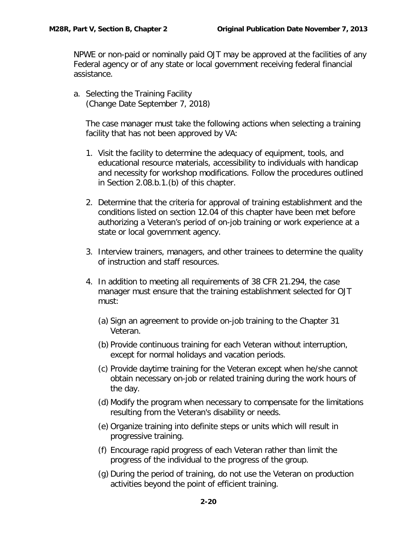NPWE or non-paid or nominally paid OJT may be approved at the facilities of any Federal agency or of any state or local government receiving federal financial assistance.

<span id="page-21-0"></span>a. Selecting the Training Facility (Change Date September 7, 2018)

The case manager must take the following actions when selecting a training facility that has not been approved by VA:

- 1. Visit the facility to determine the adequacy of equipment, tools, and educational resource materials, accessibility to individuals with handicap and necessity for workshop modifications. Follow the procedures outlined in Section 2.08.b.1.(b) of this chapter.
- 2. Determine that the criteria for approval of training establishment and the conditions listed on section 12.04 of this chapter have been met before authorizing a Veteran's period of on-job training or work experience at a state or local government agency.
- 3. Interview trainers, managers, and other trainees to determine the quality of instruction and staff resources.
- 4. In addition to meeting all requirements of 38 CFR 21.294, the case manager must ensure that the training establishment selected for OJT must:
	- (a) Sign an agreement to provide on-job training to the Chapter 31 Veteran.
	- (b) Provide continuous training for each Veteran without interruption, except for normal holidays and vacation periods.
	- (c) Provide daytime training for the Veteran except when he/she cannot obtain necessary on-job or related training during the work hours of the day.
	- (d) Modify the program when necessary to compensate for the limitations resulting from the Veteran's disability or needs.
	- (e) Organize training into definite steps or units which will result in progressive training.
	- (f) Encourage rapid progress of each Veteran rather than limit the progress of the individual to the progress of the group.
	- (g) During the period of training, do not use the Veteran on production activities beyond the point of efficient training.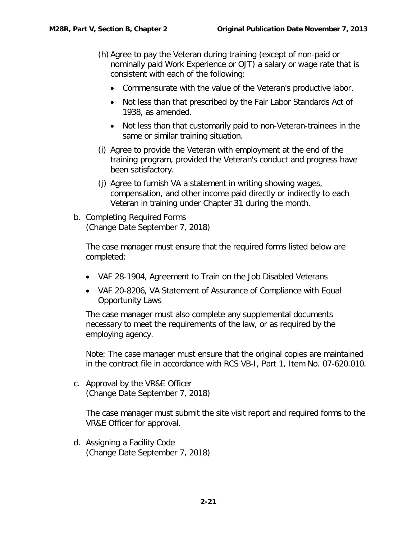- (h) Agree to pay the Veteran during training (except of non-paid or nominally paid Work Experience or OJT) a salary or wage rate that is consistent with each of the following:
	- Commensurate with the value of the Veteran's productive labor.
	- Not less than that prescribed by the Fair Labor Standards Act of 1938, as amended.
	- Not less than that customarily paid to non-Veteran-trainees in the same or similar training situation.
- (i) Agree to provide the Veteran with employment at the end of the training program, provided the Veteran's conduct and progress have been satisfactory.
- (j) Agree to furnish VA a statement in writing showing wages, compensation, and other income paid directly or indirectly to each Veteran in training under Chapter 31 during the month.
- <span id="page-22-0"></span>b. Completing Required Forms (Change Date September 7, 2018)

The case manager must ensure that the required forms listed below are completed:

- VAF 28-1904, Agreement to Train on the Job Disabled Veterans
- VAF 20-8206, VA Statement of Assurance of Compliance with Equal Opportunity Laws

The case manager must also complete any supplemental documents necessary to meet the requirements of the law, or as required by the employing agency.

Note: The case manager must ensure that the original copies are maintained in the contract file in accordance with RCS VB-I, Part 1, Item No. 07-620.010.

<span id="page-22-1"></span>c. Approval by the VR&E Officer (Change Date September 7, 2018)

The case manager must submit the site visit report and required forms to the VR&E Officer for approval.

<span id="page-22-2"></span>d. Assigning a Facility Code (Change Date September 7, 2018)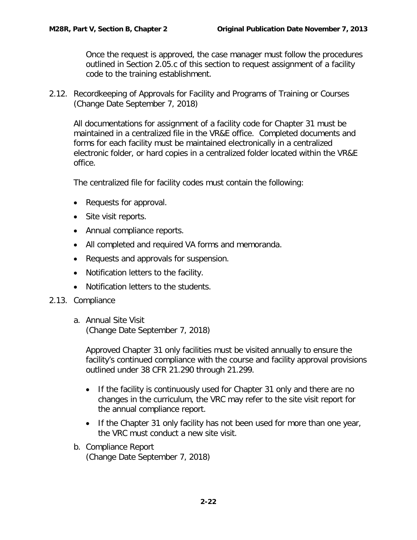Once the request is approved, the case manager must follow the procedures outlined in Section 2.05.c of this section to request assignment of a facility code to the training establishment.

<span id="page-23-0"></span>2.12. Recordkeeping of Approvals for Facility and Programs of Training or Courses (Change Date September 7, 2018)

All documentations for assignment of a facility code for Chapter 31 must be maintained in a centralized file in the VR&E office. Completed documents and forms for each facility must be maintained electronically in a centralized electronic folder, or hard copies in a centralized folder located within the VR&E office.

The centralized file for facility codes must contain the following:

- Requests for approval.
- Site visit reports.
- Annual compliance reports.
- All completed and required VA forms and memoranda.
- Requests and approvals for suspension.
- Notification letters to the facility.
- Notification letters to the students.
- <span id="page-23-2"></span><span id="page-23-1"></span>2.13. Compliance
	- a. Annual Site Visit (Change Date September 7, 2018)

Approved Chapter 31 only facilities must be visited annually to ensure the facility's continued compliance with the course and facility approval provisions outlined under 38 CFR 21.290 through 21.299.

- If the facility is continuously used for Chapter 31 only and there are no changes in the curriculum, the VRC may refer to the site visit report for the annual compliance report.
- If the Chapter 31 only facility has not been used for more than one year, the VRC must conduct a new site visit.
- <span id="page-23-3"></span>b. Compliance Report (Change Date September 7, 2018)